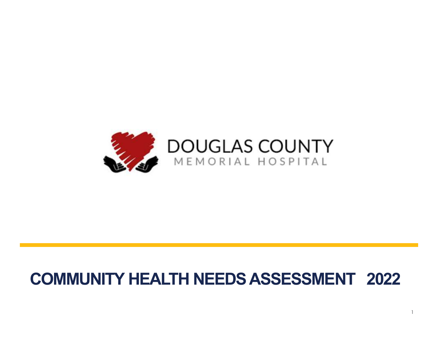

#### COMMUNITY HEALTH NEEDS ASSESSMENT 2022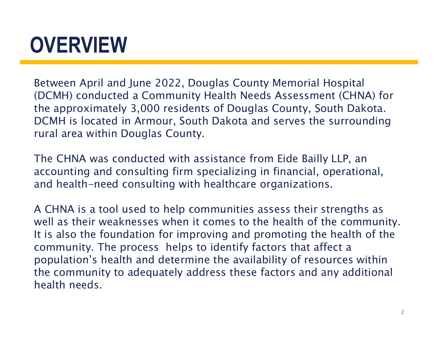#### **OVERVIEW**

Between April and June 2022, Douglas County Memorial Hospital (DCMH) conducted a Community Health Needs Assessment (CHNA) for the approximately 3,000 residents of Douglas County, South Dakota. DCMH is located in Armour, South Dakota and serves the surrounding rural area within Douglas County.

The CHNA was conducted with assistance from Eide Bailly LLP, an accounting and consulting firm specializing in financial, operational, and health-need consulting with healthcare organizations.

A CHNA is a tool used to help communities assess their strengths as well as their weaknesses when it comes to the health of the community. It is also the foundation for improving and promoting the health of the community. The process helps to identify factors that affect a population's health and determine the availability of resources within the community to adequately address these factors and any additional health needs.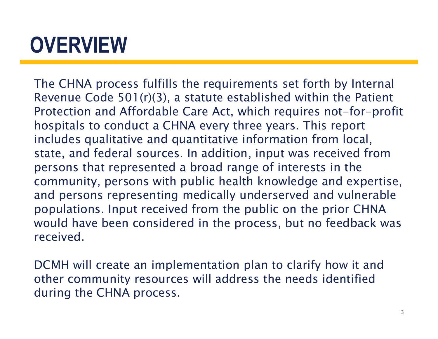#### **OVERVIEW**

The CHNA process fulfills the requirements set forth by Internal Revenue Code 501(r)(3), a statute established within the Patient Protection and Affordable Care Act, which requires not-for-profit hospitals to conduct a CHNA every three years. This report includes qualitative and quantitative information from local, state, and federal sources. In addition, input was received from persons that represented a broad range of interests in the community, persons with public health knowledge and expertise, and persons representing medically underserved and vulnerable populations. Input received from the public on the prior CHNA would have been considered in the process, but no feedback was received.

DCMH will create an implementation plan to clarify how it and other community resources will address the needs identified during the CHNA process.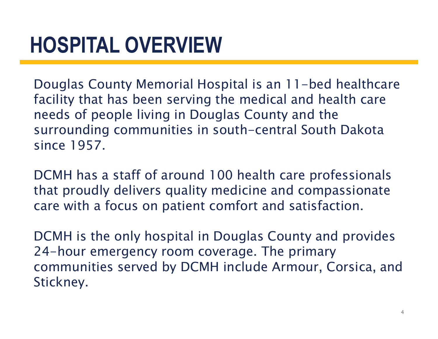#### HOSPITAL OVERVIEW

Douglas County Memorial Hospital is an 11-bed healthcare facility that has been serving the medical and health care needs of people living in Douglas County and the surrounding communities in south-central South Dakota since 1957.

DCMH has a staff of around 100 health care professionals that proudly delivers quality medicine and compassionate care with a focus on patient comfort and satisfaction.

DCMH is the only hospital in Douglas County and provides 24-hour emergency room coverage. The primary communities served by DCMH include Armour, Corsica, and Stickney.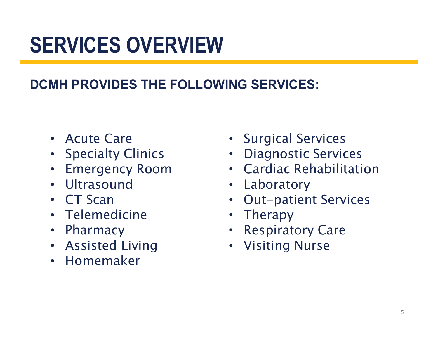#### SERVICES OVERVIEW

#### DCMH PROVIDES THE FOLLOWING SERVICES:

- Acute Care
- Specialty Clinics •
- Emergency Room
- Ultrasound
- CT Scan
- Telemedicine
- Pharmacy
- Assisted Living
- Homemaker
- Surgical Services
- Diagnostic Services
- Cardiac Rehabilitation
- Laboratory
- Out-patient Services
- Therapy
- Respiratory Care
- Visiting Nurse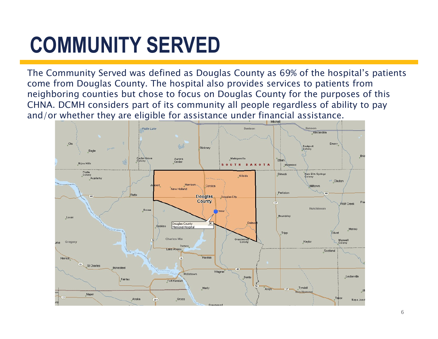The Community Served was defined as Douglas County as 69% of the hospital's patients come from Douglas County. The hospital also provides services to patients from neighboring counties but chose to focus on Douglas County for the purposes of this CHNA. DCMH considers part of its community all people regardless of ability to pay and/or whether they are eligible for assistance under financial assistance.

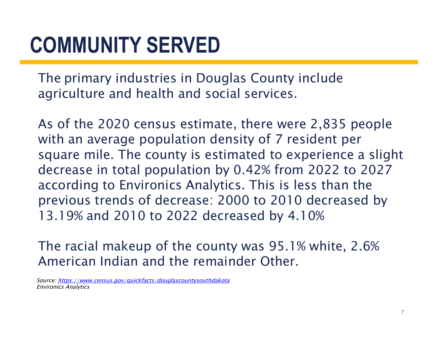**COMMUNITY SERVED:**<br>The primary industries in Douglas County include<br>agriculture and health and social services.<br>As of the 2020 census estimate, there were 2,835 people agriculture and health and social services.

decrease in total population by 0.<br>according to Environics Analytics.<br>previous trends of decrease: 2000<br>13.19% and 2010 to 2022 decreas<br>The racial makeup of the county v<br>American Indian and the remainde<br>source: https://www As of the 2020 census estimate, there were 2,835 people with an average population density of 7 resident per square mile. The county is estimated to experience a slight decrease in total population by 0.42% from 2022 to 2027 The primary industries in Douglas County include<br>agriculture and health and social services.<br>As of the 2020 census estimate, there were 2,835 people<br>with an average population density of 7 resident per<br>square mile. The cou previous trends of decrease: 2000 to 2010 decreased by 13.19% and 2010 to 2022 decreased by 4.10%

The racial makeup of the county was 95.1% white, 2.6% American Indian and the remainder Other.

Source: https://www.census.gov/quickfacts/douglascountysouthdakota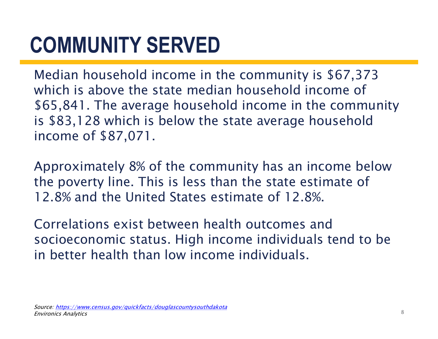Median household income in the community is \$67,373 which is above the state median household income of \$65,841. The average household income in the community is \$83,128 which is below the state average household income of \$87,071.

Approximately 8% of the community has an income below the poverty line. This is less than the state estimate of 12.8% and the United States estimate of 12.8%.

Correlations exist between health outcomes and socioeconomic status. High income individuals tend to be in better health than low income individuals. 12.8% and the United States estim<br>Correlations exist between health<br>socioeconomic status. High incom<br>in better health than low income in<br>Source: https://www.census.gov/quickfacts/douglascountysouthdakota<br>Environics Analyti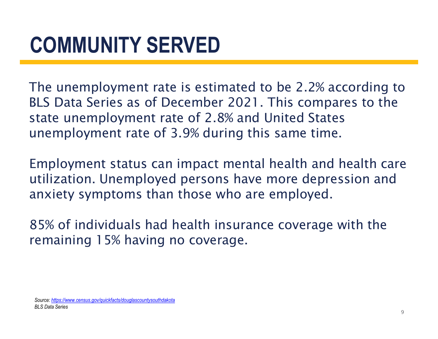The unemployment rate is estimated to be 2.2% according to BLS Data Series as of December 2021. This compares to the state unemployment rate of 2.8% and United States unemployment rate of 3.9% during this same time.

Employment status can impact mental health and health care utilization. Unemployed persons have more depression and anxiety symptoms than those who are employed.

85% of individuals had health insurance coverage with the remaining 15% having no coverage.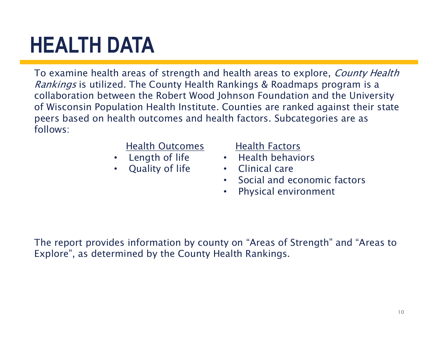#### HEALTH DATA

To examine health areas of strength and health areas to explore, County Health Rankings is utilized. The County Health Rankings & Roadmaps program is a collaboration between the Robert Wood Johnson Foundation and the University of Wisconsin Population Health Institute. Counties are ranked against their state peers based on health outcomes and health factors. Subcategories are as follows:

#### Health Outcomes

- Length of life
- Quality of life

Health Factors

- Health behaviors
- Clinical care
- Social and economic factors
- Physical environment

The report provides information by county on "Areas of Strength" and "Areas to Explore", as determined by the County Health Rankings.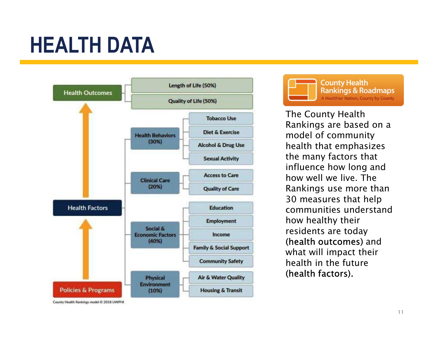#### HEALTH DATA





**County Health Rankings & Roadmaps** A Healthier Nation, County by County

The County Health Rankings are based on a model of community health that emphasizes the many factors that influence how long and how well we live. The Rankings use more than 30 measures that help communities understand how healthy their residents are today (health outcomes) and what will impact their health in the future (health factors).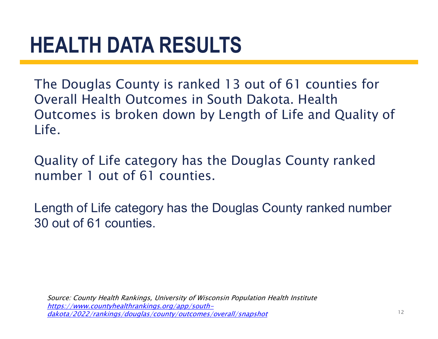The Douglas County is ranked 13 out of 61 counties for Overall Health Outcomes in South Dakota. Health Outcomes is broken down by Length of Life and Quality of Life.

Quality of Life category has the Douglas County ranked number 1 out of 61 counties.

Length of Life category has the Douglas County ranked number 30 out of 61 counties.

Source: County Health Rankings, University of Wisconsin Population Health Institute https://www.countyhealthrankings.org/app/southdakota/2022/rankings/douglas/county/outcomes/overall/snapshot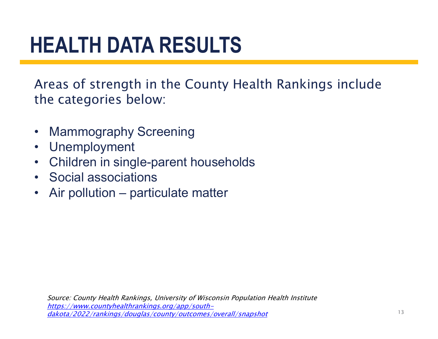Areas of strength in the County Health Rankings include the categories below: **HEALTH DATA RESULTS**<br>Areas of strength in the County Health Rankin<br>the categories below:<br>• Mammography Screening<br>• Unemployment<br>• Children in single-parent households **HEALTH DATA RESULT**<br>Areas of strength in the County<br>the categories below:<br>• Mammography Screening<br>• Unemployment<br>• Children in single-parent househ<br>• Social associations **HEALTH DATA RESULTS**<br>Areas of strength in the County Health Rankings is<br>the categories below:<br>• Mammography Screening<br>• Unemployment<br>• Children in single-parent households<br>• Social associations<br>• Air pollution – particula **HEALTH DATA RESULTS**<br>Areas of strength in the County Health<br>the categories below:<br>• Mammography Screening<br>• Unemployment<br>• Children in single-parent households<br>• Social associations<br>• Air pollution – particulate matter Frame Strength in the County Health Ranki<br>
the categories below:<br>
• Mammography Screening<br>
• Unemployment<br>
• Children in single-parent households<br>
• Social associations<br>
• Air pollution – particulate matter

- 
- 
- 
- 
-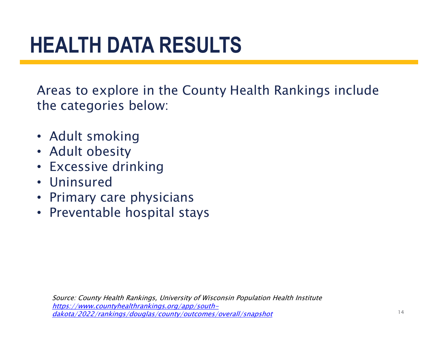Areas to explore in the County Health Rankings include the categories below:

- Adult smoking
- Adult obesity
- Excessive drinking
- Uninsured
- Primary care physicians
- Preventable hospital stays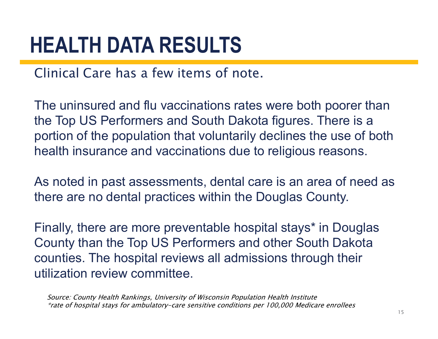Clinical Care has a few items of note.

The uninsured and flu vaccinations rates were both poorer than the Top US Performers and South Dakota figures. There is a portion of the population that voluntarily declines the use of both health insurance and vaccinations due to religious reasons.

As noted in past assessments, dental care is an area of need as there are no dental practices within the Douglas County.

Finally, there are more preventable hospital stays\* in Douglas County than the Top US Performers and other South Dakota counties. The hospital reviews all admissions through their utilization review committee.

Source: County Health Rankings, University of Wisconsin Population Health Institute \*rate of hospital stays for ambulatory-care sensitive conditions per 100,000 Medicare enrollees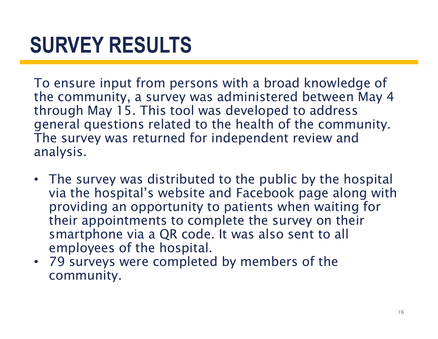To ensure input from persons with a broad knowledge of the community, a survey was administered between May 4 through May 15. This tool was developed to address general questions related to the health of the community. The survey was returned for independent review and analysis.

- The survey was distributed to the public by the hospital via the hospital's website and Facebook page along with providing an opportunity to patients when waiting for their appointments to complete the survey on their smartphone via a QR code. It was also sent to all employees of the hospital.
- 79 surveys were completed by members of the community.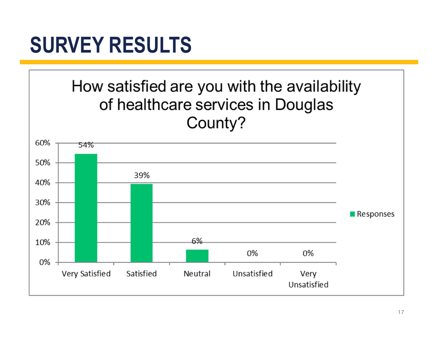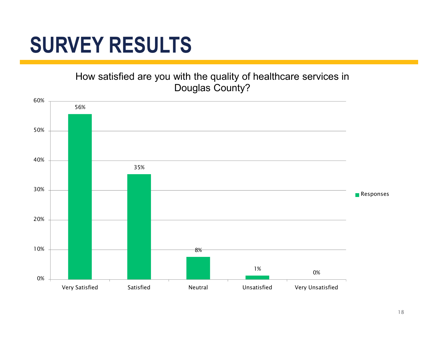How satisfied are you with the quality of healthcare services in Douglas County?

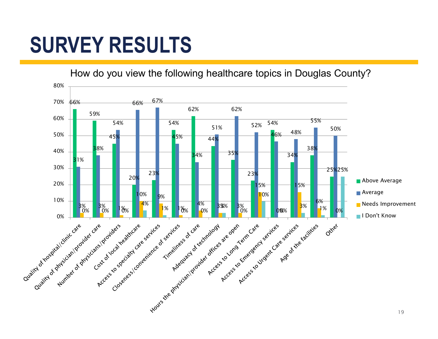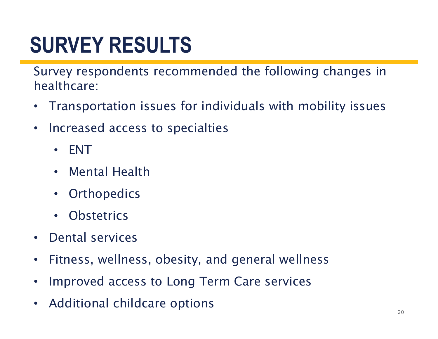Survey respondents recommended the following changes in healthcare:

- Transportation issues for individuals with mobility issues
- Increased access to specialties
	- ENT
	- Mental Health
	- Orthopedics
	- Obstetrics
- Dental services
- Fitness, wellness, obesity, and general wellness
- Improved access to Long Term Care services
- Additional childcare options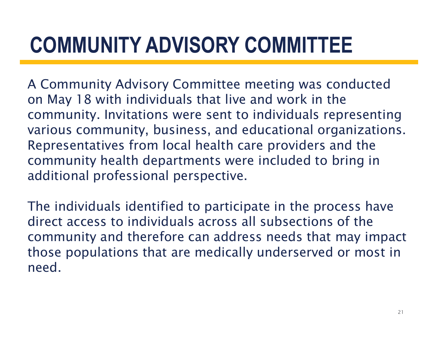#### COMMUNITY ADVISORY COMMITTEE

A Community Advisory Committee meeting was conducted on May 18 with individuals that live and work in the community. Invitations were sent to individuals representing various community, business, and educational organizations. Representatives from local health care providers and the community health departments were included to bring in additional professional perspective.

The individuals identified to participate in the process have direct access to individuals across all subsections of the community and therefore can address needs that may impact those populations that are medically underserved or most in need.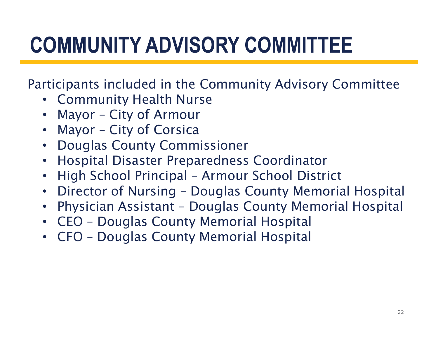# COMMUNITY ADVISORY COMMITTEE **COMMUNITY ADVISORY COMMENTY ADVISORY COMM**<br>
Fricipants included in the Community Ad<br>
• Community Health Nurse<br>
• Mayor – City of Armour<br>
• Mayor – City of Corsica<br>
• Douglas County Commissioner<br>
• Hospital Disaster Prepar **OMMUNITY ADVISORY COMM**<br>
Fricipants included in the Community Ad<br>
• Community Health Nurse<br>
• Mayor – City of Armour<br>
• Mayor – City of Corsica<br>
• Douglas County Commissioner<br>
• Hospital Disaster Preparedness Coord<br>
• Hig

Participants included in the Community Advisory Committee • Community Halth Nurse<br>• Community Health Nurse<br>• Mayor – City of Armour<br>• Mayor – City of Corsica<br>• Douglas County Commissioner<br>• Hospital Disaster Preparedness Coordinator<br>• High School Principal – Armour School Distric rticipants included in the Community Advisory Committee<br>• Community Health Nurse<br>• Mayor – City of Armour<br>• Mayor – City of Corsica<br>• Douglas County Commissioner<br>• Hospital Disaster Preparedness Coordinator<br>• High School P

- Community Health Nurse
- 
- 
- Douglas County Commissioner
- Hospital Disaster Preparedness Coordinator
- 
- rticipants included in the Community Advisory Committee<br>• Community Health Nurse<br>• Mayor City of Armour<br>• Mayor City of Corsica<br>• Douglas County Commissioner<br>• Hospital Disaster Preparedness Coordinator<br>• High School P • Community Health Nurse<br>• Mayor – City of Armour<br>• Mayor – City of Corsica<br>• Douglas County Commissioner<br>• Hospital Disaster Preparedness Coordinator<br>• High School Principal – Armour School District<br>• Director of Nursing • Mayor – City of Armour<br>• Mayor – City of Corsica<br>• Douglas County Commissioner<br>• Hospital Disaster Preparedness Coordinator<br>• High School Principal – Armour School District<br>• Director of Nursing – Douglas County Memorial
- 
- 
-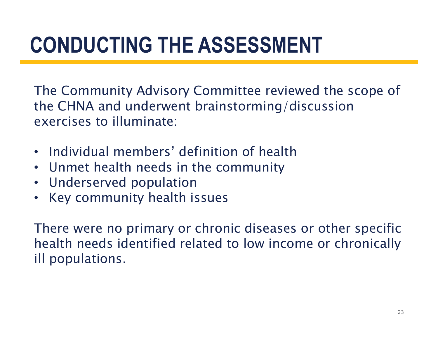#### CONDUCTING THE ASSESSMENT

The Community Advisory Committee reviewed the scope of the CHNA and underwent brainstorming/discussion exercises to illuminate:

- Individual members' definition of health
- Unmet health needs in the community
- Underserved population
- Key community health issues

There were no primary or chronic diseases or other specific health needs identified related to low income or chronically ill populations.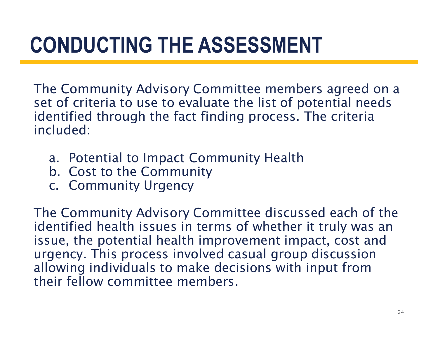#### CONDUCTING THE ASSESSMENT

The Community Advisory Committee members agreed on a set of criteria to use to evaluate the list of potential needs identified through the fact finding process. The criteria included: **SONGLANG THE ASSESSMENT**<br> **EXECUTE COMMUNA COMMUNA COMMUNA COMMUNA CONSTREPREND ASSESSMENT**<br>
Let of criteria to use to evaluate the list of potential needs<br>
pentified through the fact finding process. The criteria<br>
cluded **EXECUTE THE AUSLOUTE**<br> **EXECUTE:**<br> **EXECUTE:**<br> **EXECUTE:**<br> **EXECUTE:**<br> **EXECUTE:**<br> **EXECUTE:**<br> **EXECUTE:**<br> **EXECUTE:**<br> **EXECUTE:**<br> **EXECUTE:**<br> **EXECUTE:**<br> **EXECUTE:**<br> **EXECUTE:**<br> **EXECUTE:**<br> **EXECUTE:**<br> **EXECUTE:**<br> **EXECU** e Community Advisory Committee met of criteria to use to evaluate the list<br>entified through the fact finding proce<br>cluded:<br>a. Potential to Impact Community He.<br>b. Cost to the Community<br>c. Community Urgency<br>e Community Advi

- 
- 
- 

The Community Advisory Committee discussed each of the identified health issues in terms of whether it truly was an issue, the potential health improvement impact, cost and urgency. This process involved casual group discussion allowing individuals to make decisions with input from their fellow committee members.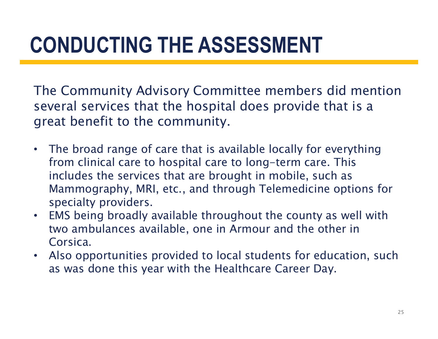#### CONDUCTING THE ASSESSMENT

The Community Advisory Committee members did mention several services that the hospital does provide that is a great benefit to the community.

- The broad range of care that is available locally for everything from clinical care to hospital care to long-term care. This includes the services that are brought in mobile, such as Mammography, MRI, etc., and through Telemedicine options for specialty providers.
- EMS being broadly available throughout the county as well with two ambulances available, one in Armour and the other in Corsica.
- Also opportunities provided to local students for education, such as was done this year with the Healthcare Career Day.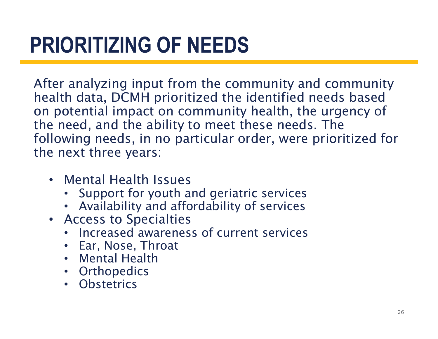#### PRIORITIZING OF NEEDS

After analyzing input from the community and community health data, DCMH prioritized the identified needs based on potential impact on community health, the urgency of the need, and the ability to meet these needs. The following needs, in no particular order, were prioritized for the next three years:

- Mental Health Issues
	- Support for youth and geriatric services
	- Availability and affordability of services
- Access to Specialties
	- Increased awareness of current services
	- Ear, Nose, Throat
	- Mental Health
	- Orthopedics
	- Obstetrics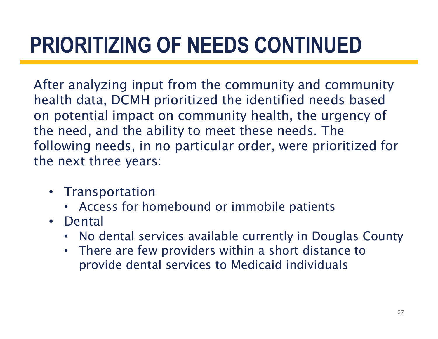### PRIORITIZING OF NEEDS CONTINUED

After analyzing input from the community and community health data, DCMH prioritized the identified needs based on potential impact on community health, the urgency of the need, and the ability to meet these needs. The following needs, in no particular order, were prioritized for the next three years:

- Transportation
	- Access for homebound or immobile patients
- Dental
	- No dental services available currently in Douglas County
	- There are few providers within a short distance to provide dental services to Medicaid individuals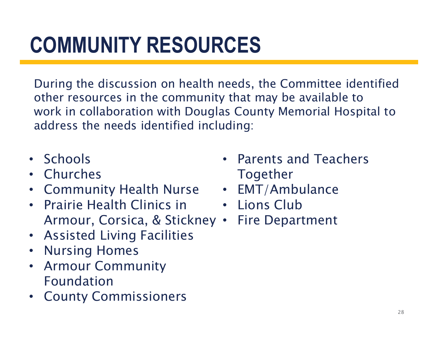# COMMUNITY RESOURCES

During the discussion on health needs, the Committee identified other resources in the community that may be available to work in collaboration with Douglas County Memorial Hospital to address the needs identified including:

- Schools
- Churches
- Community Health Nurse
- Prairie Health Clinics in Armour, Corsica, & Stickney • Fire Department• Schools • Parent<br>• Churches Togetl<br>• Community Health Nurse • EMT/A<br>• Prairie Health Clinics in • Lions •<br>Armour, Corsica, & Stickney • Fire De<br>• Assisted Living Facilities<br>• Nursing Homes<br>• Armour Community<br>Foundation<br>•
- Assisted Living Facilities
- Nursing Homes
- Foundation
- County Commissioners
- Parents and Teachers Together
- EMT/Ambulance
- Lions Club
-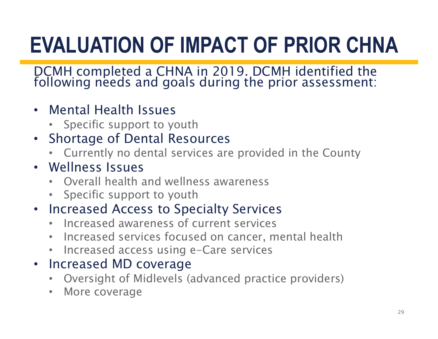# EVALUATION OF IMPACT OF PRIOR CHNA

### DCMH completed a CHNA in 2019. DCMH identified the following needs and goals during the prior assessment:

- Mental Health Issues
	- Specific support to youth
- Shortage of Dental Resources
	- Currently no dental services are provided in the County
- Wellness Issues
	- Overall health and wellness awareness
	- Specific support to youth
- Increased Access to Specialty Services
	- Increased awareness of current services
	- Increased services focused on cancer, mental health
	- Increased access using e-Care services
- Increased MD coverage
- Currently no dentar services are provided in the County<br>
Wellness Issues<br>
 Overall health and wellness awareness<br>
 Specific support to youth<br>
Increased Access to Specialty Services<br>
 Increased awareness of current ser
	- More coverage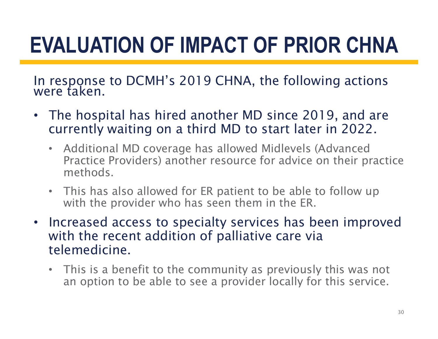#### EVALUATION OF IMPACT OF PRIOR CHNA

In response to DCMH's 2019 CHNA, the following actions were taken.

- The hospital has hired another MD since 2019, and are currently waiting on a third MD to start later in 2022.
- **FRIOR CHNA**<br> **FRIOR CHNA**<br> **EXECUTE FRIOR CHNA**<br> **EXECUTE FRIOR CHNA**<br> **EXECUTE HASPTION CHAPE ASSESS**<br>
The hospital has hired another MD since 2019, and are<br>
currently waiting on a third MD to start later in 2022.<br>
Addit Practice Providers) another resource for advice on their practice methods.
	- This has also allowed for ER patient to be able to follow up with the provider who has seen them in the ER.
- Increased access to specialty services has been improved with the recent addition of palliative care via telemedicine.
	- This is a benefit to the community as previously this was not an option to be able to see a provider locally for this service.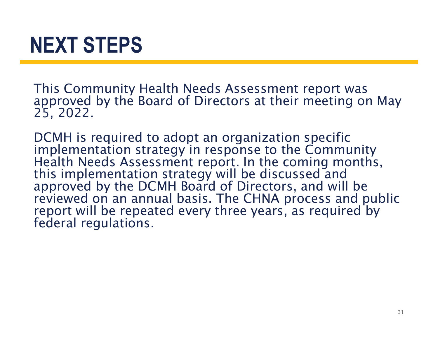#### NEXT STEPS

This Community Health Needs Assessment report was approved by the Board of Directors at their meeting on May 25, 2022.

DCMH is required to adopt an organization specific<br>implementation strategy in response to the Community Health Needs Assessment report. In the coming months,<br>this implementation strategy will be discussed and<br>approved by the DCMH Board of Directors, and will be<br>reviewed on an annual basis. The CHNA process and public<br>report